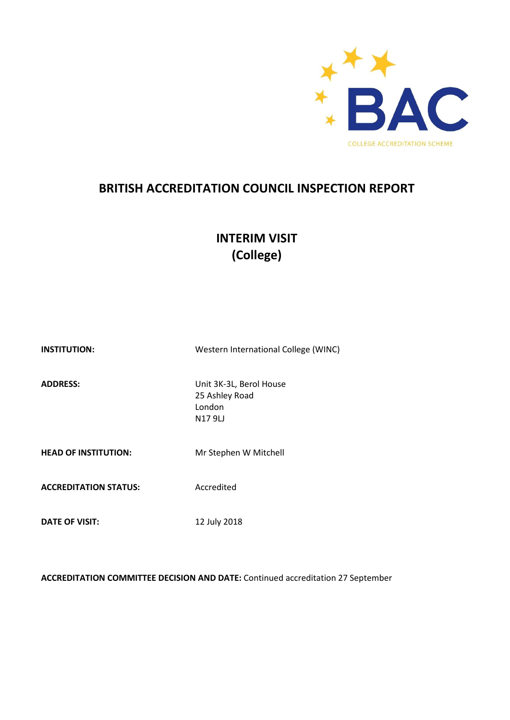

# **BRITISH ACCREDITATION COUNCIL INSPECTION REPORT**

# **INTERIM VISIT (College)**

| <b>INSTITUTION:</b>          | Western International College (WINC)                          |
|------------------------------|---------------------------------------------------------------|
| <b>ADDRESS:</b>              | Unit 3K-3L, Berol House<br>25 Ashley Road<br>London<br>N179LJ |
| <b>HEAD OF INSTITUTION:</b>  | Mr Stephen W Mitchell                                         |
| <b>ACCREDITATION STATUS:</b> | Accredited                                                    |
| <b>DATE OF VISIT:</b>        | 12 July 2018                                                  |

**ACCREDITATION COMMITTEE DECISION AND DATE:** Continued accreditation 27 September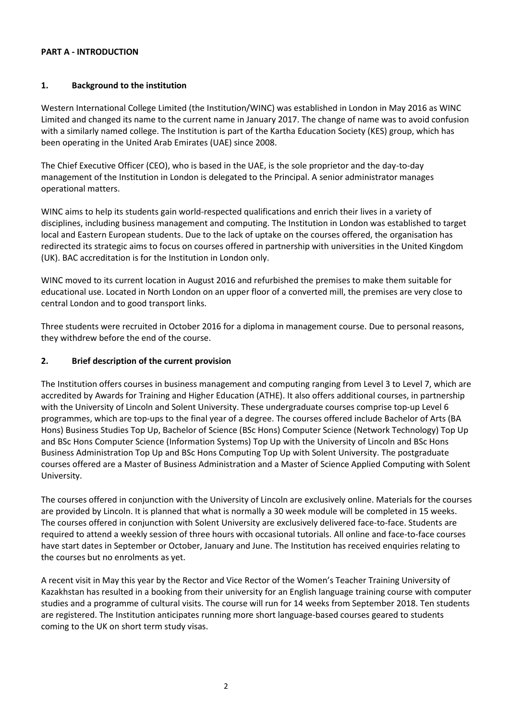#### **PART A - INTRODUCTION**

## **1. Background to the institution**

Western International College Limited (the Institution/WINC) was established in London in May 2016 as WINC Limited and changed its name to the current name in January 2017. The change of name was to avoid confusion with a similarly named college. The Institution is part of the Kartha Education Society (KES) group, which has been operating in the United Arab Emirates (UAE) since 2008.

The Chief Executive Officer (CEO), who is based in the UAE, is the sole proprietor and the day-to-day management of the Institution in London is delegated to the Principal. A senior administrator manages operational matters.

WINC aims to help its students gain world-respected qualifications and enrich their lives in a variety of disciplines, including business management and computing. The Institution in London was established to target local and Eastern European students. Due to the lack of uptake on the courses offered, the organisation has redirected its strategic aims to focus on courses offered in partnership with universities in the United Kingdom (UK). BAC accreditation is for the Institution in London only.

WINC moved to its current location in August 2016 and refurbished the premises to make them suitable for educational use. Located in North London on an upper floor of a converted mill, the premises are very close to central London and to good transport links.

Three students were recruited in October 2016 for a diploma in management course. Due to personal reasons, they withdrew before the end of the course.

## **2. Brief description of the current provision**

The Institution offers courses in business management and computing ranging from Level 3 to Level 7, which are accredited by Awards for Training and Higher Education (ATHE). It also offers additional courses, in partnership with the University of Lincoln and Solent University. These undergraduate courses comprise top-up Level 6 programmes, which are top-ups to the final year of a degree. The courses offered include Bachelor of Arts (BA Hons) Business Studies Top Up, Bachelor of Science (BSc Hons) Computer Science (Network Technology) Top Up and BSc Hons Computer Science (Information Systems) Top Up with the University of Lincoln and BSc Hons Business Administration Top Up and BSc Hons Computing Top Up with Solent University. The postgraduate courses offered are a Master of Business Administration and a Master of Science Applied Computing with Solent University.

The courses offered in conjunction with the University of Lincoln are exclusively online. Materials for the courses are provided by Lincoln. It is planned that what is normally a 30 week module will be completed in 15 weeks. The courses offered in conjunction with Solent University are exclusively delivered face-to-face. Students are required to attend a weekly session of three hours with occasional tutorials. All online and face-to-face courses have start dates in September or October, January and June. The Institution has received enquiries relating to the courses but no enrolments as yet.

A recent visit in May this year by the Rector and Vice Rector of the Women's Teacher Training University of Kazakhstan has resulted in a booking from their university for an English language training course with computer studies and a programme of cultural visits. The course will run for 14 weeks from September 2018. Ten students are registered. The Institution anticipates running more short language-based courses geared to students coming to the UK on short term study visas.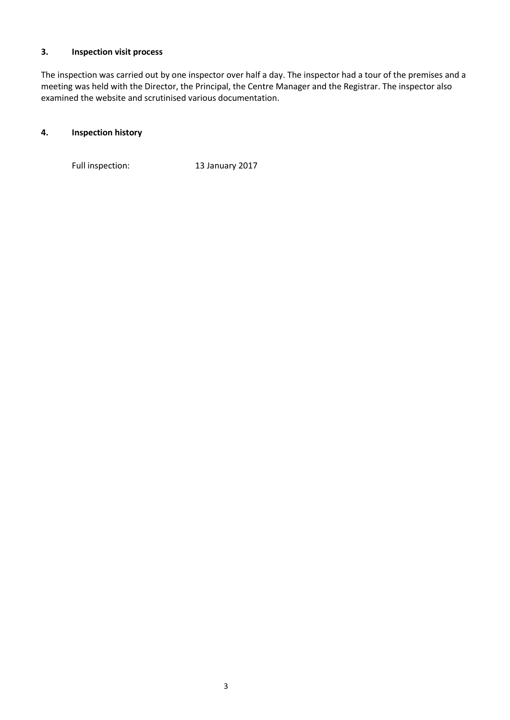## **3. Inspection visit process**

The inspection was carried out by one inspector over half a day. The inspector had a tour of the premises and a meeting was held with the Director, the Principal, the Centre Manager and the Registrar. The inspector also examined the website and scrutinised various documentation.

## **4. Inspection history**

Full inspection: 13 January 2017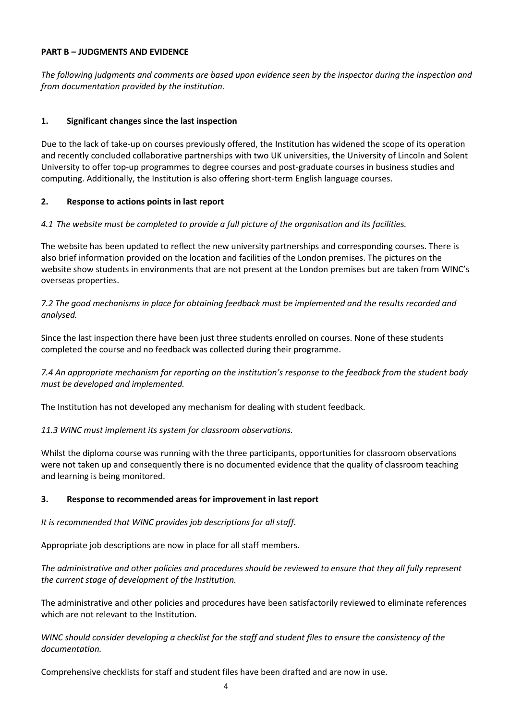#### **PART B – JUDGMENTS AND EVIDENCE**

*The following judgments and comments are based upon evidence seen by the inspector during the inspection and from documentation provided by the institution.*

## **1. Significant changes since the last inspection**

Due to the lack of take-up on courses previously offered, the Institution has widened the scope of its operation and recently concluded collaborative partnerships with two UK universities, the University of Lincoln and Solent University to offer top-up programmes to degree courses and post-graduate courses in business studies and computing. Additionally, the Institution is also offering short-term English language courses.

#### **2. Response to actions points in last report**

#### *4.1 The website must be completed to provide a full picture of the organisation and its facilities.*

The website has been updated to reflect the new university partnerships and corresponding courses. There is also brief information provided on the location and facilities of the London premises. The pictures on the website show students in environments that are not present at the London premises but are taken from WINC's overseas properties.

*7.2 The good mechanisms in place for obtaining feedback must be implemented and the results recorded and analysed.*

Since the last inspection there have been just three students enrolled on courses. None of these students completed the course and no feedback was collected during their programme.

*7.4 An appropriate mechanism for reporting on the institution's response to the feedback from the student body must be developed and implemented.*

The Institution has not developed any mechanism for dealing with student feedback.

## *11.3 WINC must implement its system for classroom observations.*

Whilst the diploma course was running with the three participants, opportunities for classroom observations were not taken up and consequently there is no documented evidence that the quality of classroom teaching and learning is being monitored.

#### **3. Response to recommended areas for improvement in last report**

*It is recommended that WINC provides job descriptions for all staff.*

Appropriate job descriptions are now in place for all staff members.

*The administrative and other policies and procedures should be reviewed to ensure that they all fully represent the current stage of development of the Institution.*

The administrative and other policies and procedures have been satisfactorily reviewed to eliminate references which are not relevant to the Institution.

*WINC should consider developing a checklist for the staff and student files to ensure the consistency of the documentation.*

Comprehensive checklists for staff and student files have been drafted and are now in use.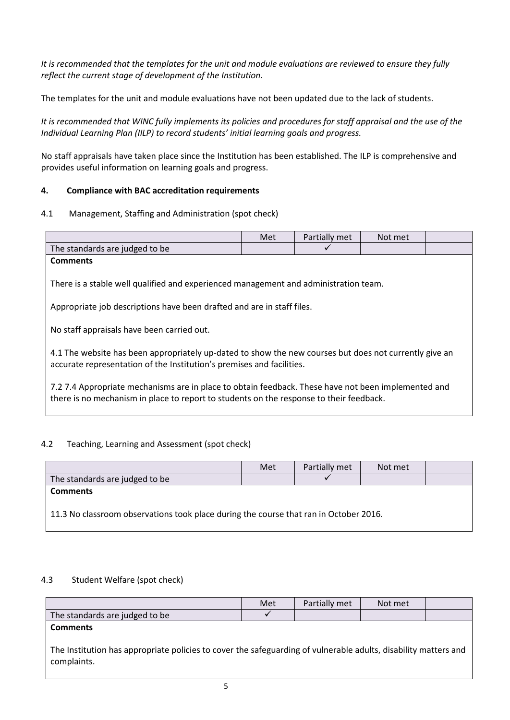*It is recommended that the templates for the unit and module evaluations are reviewed to ensure they fully reflect the current stage of development of the Institution.*

The templates for the unit and module evaluations have not been updated due to the lack of students.

It is recommended that WINC fully implements its policies and procedures for staff appraisal and the use of the *Individual Learning Plan (IILP) to record students' initial learning goals and progress.*

No staff appraisals have taken place since the Institution has been established. The ILP is comprehensive and provides useful information on learning goals and progress.

## **4. Compliance with BAC accreditation requirements**

4.1 Management, Staffing and Administration (spot check)

|                                                                                                                                                                                                | Met | Partially met | Not met |  |
|------------------------------------------------------------------------------------------------------------------------------------------------------------------------------------------------|-----|---------------|---------|--|
| The standards are judged to be                                                                                                                                                                 |     |               |         |  |
| <b>Comments</b>                                                                                                                                                                                |     |               |         |  |
| There is a stable well qualified and experienced management and administration team.                                                                                                           |     |               |         |  |
| Appropriate job descriptions have been drafted and are in staff files.                                                                                                                         |     |               |         |  |
| No staff appraisals have been carried out.                                                                                                                                                     |     |               |         |  |
| 4.1 The website has been appropriately up-dated to show the new courses but does not currently give an<br>accurate representation of the Institution's premises and facilities.                |     |               |         |  |
| 7.2 7.4 Appropriate mechanisms are in place to obtain feedback. These have not been implemented and<br>there is no mechanism in place to report to students on the response to their feedback. |     |               |         |  |

## 4.2 Teaching, Learning and Assessment (spot check)

|                                                                                       | Met | Partially met | Not met |  |
|---------------------------------------------------------------------------------------|-----|---------------|---------|--|
| The standards are judged to be                                                        |     |               |         |  |
| <b>Comments</b>                                                                       |     |               |         |  |
| 11.3 No classroom observations took place during the course that ran in October 2016. |     |               |         |  |

## 4.3 Student Welfare (spot check)

|                                                                                                                                | Met | Partially met | Not met |  |  |
|--------------------------------------------------------------------------------------------------------------------------------|-----|---------------|---------|--|--|
| The standards are judged to be                                                                                                 |     |               |         |  |  |
| <b>Comments</b>                                                                                                                |     |               |         |  |  |
| The Institution has appropriate policies to cover the safeguarding of vulnerable adults, disability matters and<br>complaints. |     |               |         |  |  |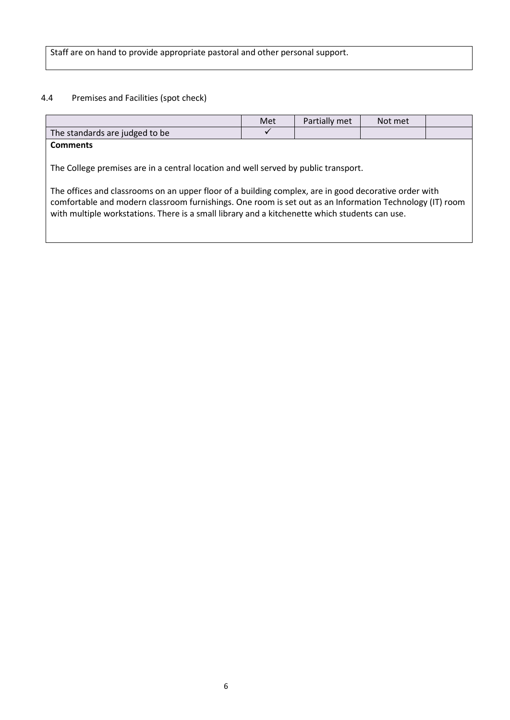Staff are on hand to provide appropriate pastoral and other personal support.

# 4.4 Premises and Facilities (spot check)

|                                                                                                                                                                                                                                                                                                                                                                                                            | Met | Partially met | Not met |  |
|------------------------------------------------------------------------------------------------------------------------------------------------------------------------------------------------------------------------------------------------------------------------------------------------------------------------------------------------------------------------------------------------------------|-----|---------------|---------|--|
| The standards are judged to be                                                                                                                                                                                                                                                                                                                                                                             |     |               |         |  |
| <b>Comments</b>                                                                                                                                                                                                                                                                                                                                                                                            |     |               |         |  |
| The College premises are in a central location and well served by public transport.<br>The offices and classrooms on an upper floor of a building complex, are in good decorative order with<br>comfortable and modern classroom furnishings. One room is set out as an Information Technology (IT) room<br>with multiple workstations. There is a small library and a kitchenette which students can use. |     |               |         |  |